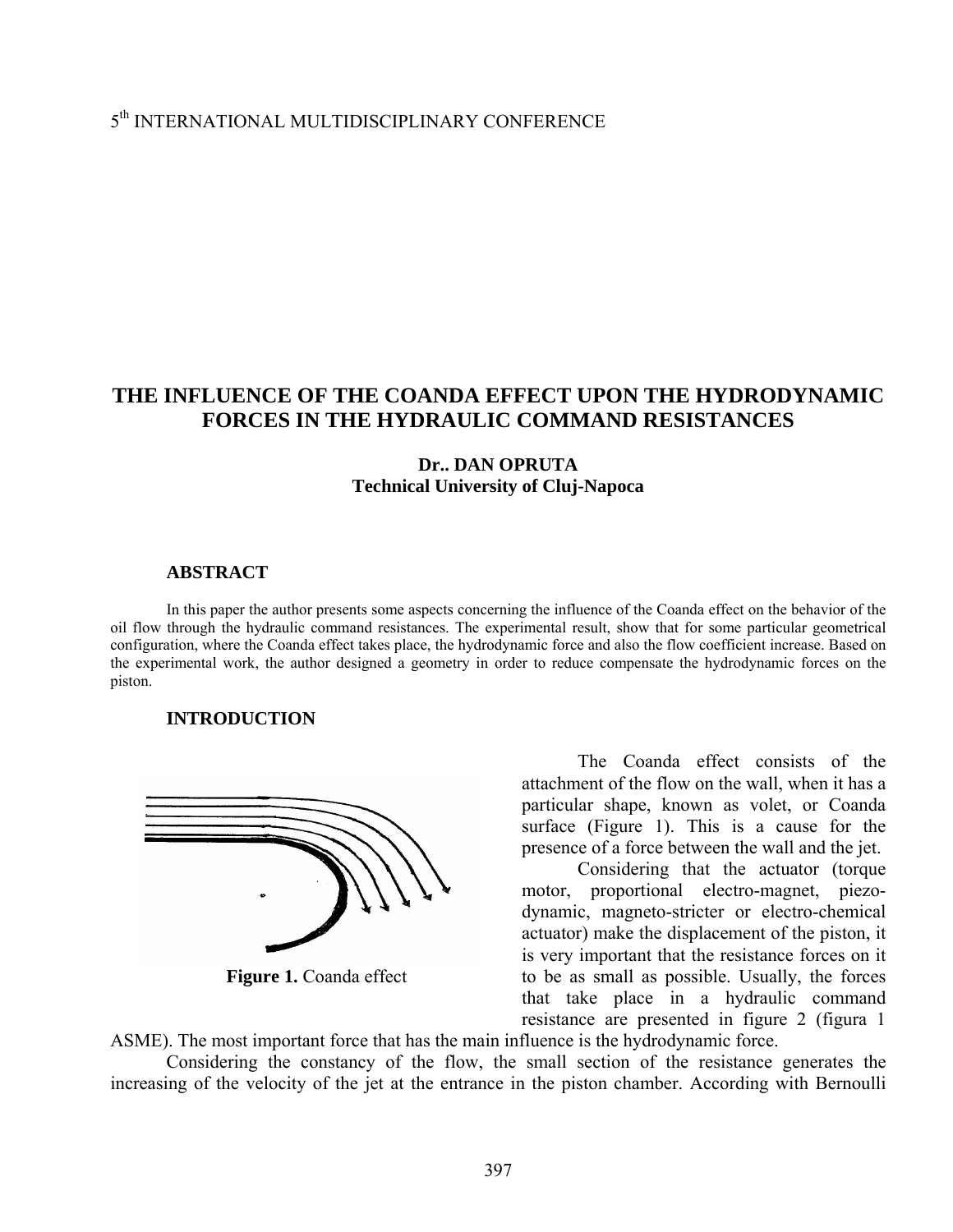## 5th INTERNATIONAL MULTIDISCIPLINARY CONFERENCE

# **THE INFLUENCE OF THE COANDA EFFECT UPON THE HYDRODYNAMIC FORCES IN THE HYDRAULIC COMMAND RESISTANCES**

### **Dr.. DAN OPRUTA Technical University of Cluj-Napoca**

### **ABSTRACT**

In this paper the author presents some aspects concerning the influence of the Coanda effect on the behavior of the oil flow through the hydraulic command resistances. The experimental result, show that for some particular geometrical configuration, where the Coanda effect takes place, the hydrodynamic force and also the flow coefficient increase. Based on the experimental work, the author designed a geometry in order to reduce compensate the hydrodynamic forces on the piston.

#### **INTRODUCTION**



**Figure 1.** Coanda effect

The Coanda effect consists of the attachment of the flow on the wall, when it has a particular shape, known as volet, or Coanda surface (Figure 1). This is a cause for the presence of a force between the wall and the jet.

Considering that the actuator (torque motor, proportional electro-magnet, piezodynamic, magneto-stricter or electro-chemical actuator) make the displacement of the piston, it is very important that the resistance forces on it to be as small as possible. Usually, the forces that take place in a hydraulic command resistance are presented in figure 2 (figura 1

ASME). The most important force that has the main influence is the hydrodynamic force.

Considering the constancy of the flow, the small section of the resistance generates the increasing of the velocity of the jet at the entrance in the piston chamber. According with Bernoulli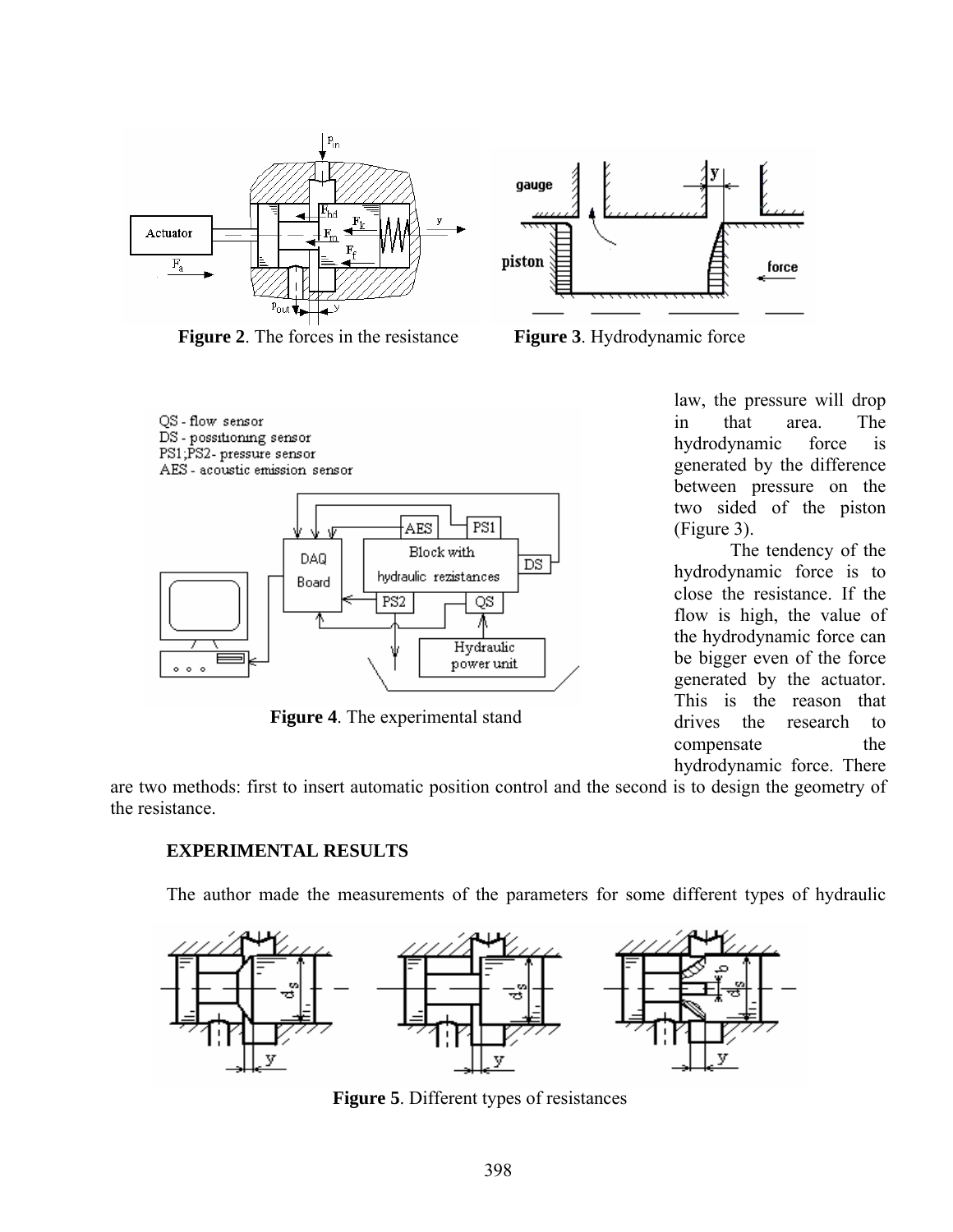

**Figure 2**. The forces in the resistance **Figure 3**. Hydrodynamic force



**Figure 4**. The experimental stand



law, the pressure will drop in that area. The hydrodynamic force is generated by the difference between pressure on the two sided of the piston (Figure 3).

The tendency of the hydrodynamic force is to close the resistance. If the flow is high, the value of the hydrodynamic force can be bigger even of the force generated by the actuator. This is the reason that drives the research to compensate the hydrodynamic force. There

are two methods: first to insert automatic position control and the second is to design the geometry of the resistance.

### **EXPERIMENTAL RESULTS**

The author made the measurements of the parameters for some different types of hydraulic



**Figure 5**. Different types of resistances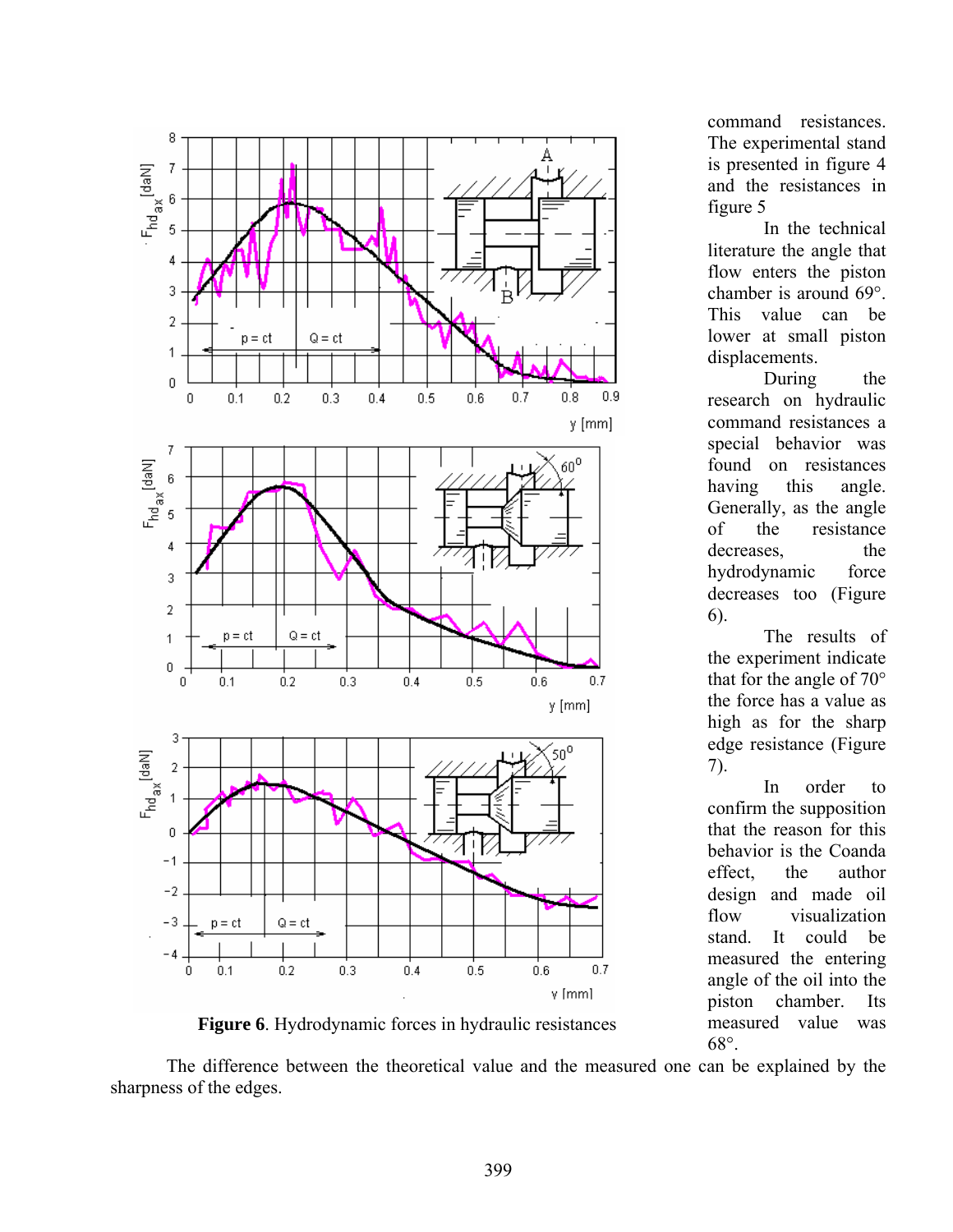

**Figure 6**. Hydrodynamic forces in hydraulic resistances

command resistances. The experimental stand is presented in figure 4 and the resistances in figure 5

 In the technical literature the angle that flow enters the piston chamber is around 69°. This value can be lower at small piston displacements.

During the research on hydraulic command resistances a special behavior was found on resistances having this angle. Generally, as the angle of the resistance decreases, the hydrodynamic force decreases too (Figure 6).

 The results of the experiment indicate that for the angle of 70° the force has a value as high as for the sharp edge resistance (Figure 7).

 In order to confirm the supposition that the reason for this behavior is the Coanda effect, the author design and made oil flow visualization stand. It could be measured the entering angle of the oil into the piston chamber. Its measured value was 68°.

The difference between the theoretical value and the measured one can be explained by the sharpness of the edges.